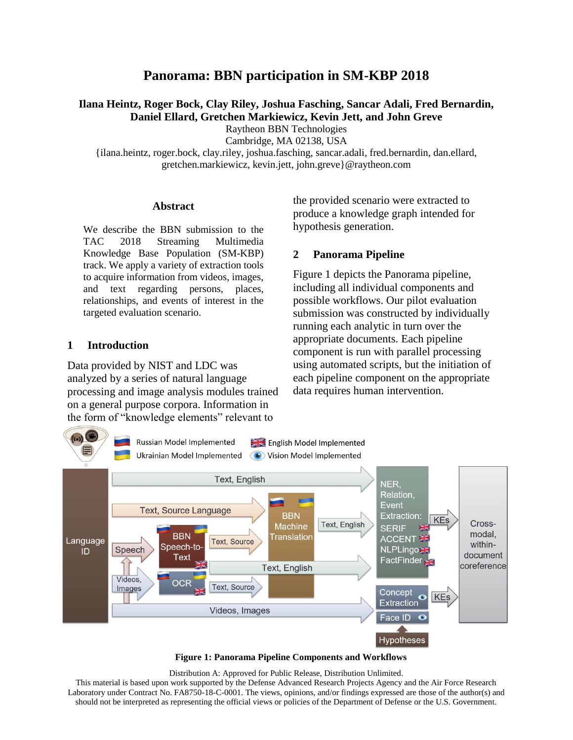# **Panorama: BBN participation in SM-KBP 2018**

**Ilana Heintz, Roger Bock, Clay Riley, Joshua Fasching, Sancar Adali, Fred Bernardin, Daniel Ellard, Gretchen Markiewicz, Kevin Jett, and John Greve**

Raytheon BBN Technologies

Cambridge, MA 02138, USA

{ilana.heintz, roger.bock, clay.riley, joshua.fasching, sancar.adali, fred.bernardin, dan.ellard, gretchen.markiewicz, kevin.jett, john.greve}@raytheon.com

#### **Abstract**

We describe the BBN submission to the TAC 2018 Streaming Multimedia Knowledge Base Population (SM-KBP) track. We apply a variety of extraction tools to acquire information from videos, images, and text regarding persons, places, relationships, and events of interest in the targeted evaluation scenario.

#### **1 Introduction**

Data provided by NIST and LDC was analyzed by a series of natural language processing and image analysis modules trained on a general purpose corpora. Information in the form of "knowledge elements" relevant to

the provided scenario were extracted to produce a knowledge graph intended for hypothesis generation.

#### **2 Panorama Pipeline**

[Figure 1](#page-0-0) depicts the Panorama pipeline, including all individual components and possible workflows. Our pilot evaluation submission was constructed by individually running each analytic in turn over the appropriate documents. Each pipeline component is run with parallel processing using automated scripts, but the initiation of each pipeline component on the appropriate data requires human intervention.



**Figure 1: Panorama Pipeline Components and Workflows**

<span id="page-0-0"></span>Distribution A: Approved for Public Release, Distribution Unlimited. This material is based upon work supported by the Defense Advanced Research Projects Agency and the Air Force Research Laboratory under Contract No. FA8750-18-C-0001. The views, opinions, and/or findings expressed are those of the author(s) and should not be interpreted as representing the official views or policies of the Department of Defense or the U.S. Government.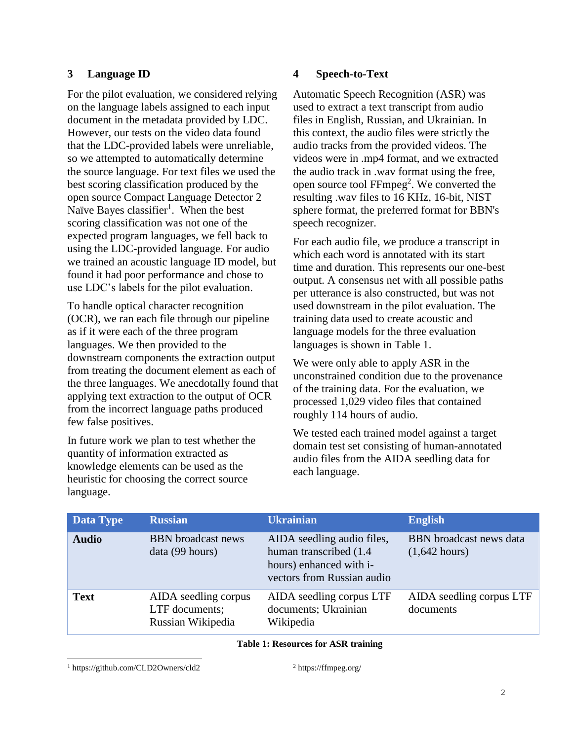# **3 Language ID**

For the pilot evaluation, we considered relying on the language labels assigned to each input document in the metadata provided by LDC. However, our tests on the video data found that the LDC-provided labels were unreliable, so we attempted to automatically determine the source language. For text files we used the best scoring classification produced by the open source Compact Language Detector 2 Naïve Bayes classifier<sup>1</sup>. When the best scoring classification was not one of the expected program languages, we fell back to using the LDC-provided language. For audio we trained an acoustic language ID model, but found it had poor performance and chose to use LDC's labels for the pilot evaluation.

To handle optical character recognition (OCR), we ran each file through our pipeline as if it were each of the three program languages. We then provided to the downstream components the extraction output from treating the document element as each of the three languages. We anecdotally found that applying text extraction to the output of OCR from the incorrect language paths produced few false positives.

In future work we plan to test whether the quantity of information extracted as knowledge elements can be used as the heuristic for choosing the correct source language.

## **4 Speech-to-Text**

Automatic Speech Recognition (ASR) was used to extract a text transcript from audio files in English, Russian, and Ukrainian. In this context, the audio files were strictly the audio tracks from the provided videos. The videos were in .mp4 format, and we extracted the audio track in .wav format using the free, open source tool  $FFmpeg<sup>2</sup>$ . We converted the resulting .wav files to 16 KHz, 16-bit, NIST sphere format, the preferred format for BBN's speech recognizer.

For each audio file, we produce a transcript in which each word is annotated with its start time and duration. This represents our one-best output. A consensus net with all possible paths per utterance is also constructed, but was not used downstream in the pilot evaluation. The training data used to create acoustic and language models for the three evaluation languages is shown in [Table 1.](#page-1-0)

We were only able to apply ASR in the unconstrained condition due to the provenance of the training data. For the evaluation, we processed 1,029 video files that contained roughly 114 hours of audio.

We tested each trained model against a target domain test set consisting of human-annotated audio files from the AIDA seedling data for each language.

| <b>Data Type</b> | <b>Russian</b>                                              | <b>Ukrainian</b>                                                                                               | <b>English</b>                                    |
|------------------|-------------------------------------------------------------|----------------------------------------------------------------------------------------------------------------|---------------------------------------------------|
| <b>Audio</b>     | <b>BBN</b> broadcast news<br>data (99 hours)                | AIDA seedling audio files,<br>human transcribed (1.4)<br>hours) enhanced with i-<br>vectors from Russian audio | <b>BBN</b> broadcast news data<br>$(1,642$ hours) |
| <b>Text</b>      | AIDA seedling corpus<br>LTF documents;<br>Russian Wikipedia | AIDA seedling corpus LTF<br>documents; Ukrainian<br>Wikipedia                                                  | AIDA seedling corpus LTF<br>documents             |

<span id="page-1-0"></span>**Table 1: Resources for ASR training**

<sup>1</sup> https://github.com/CLD2Owners/cld2

 $\overline{a}$ 

<sup>2</sup> https://ffmpeg.org/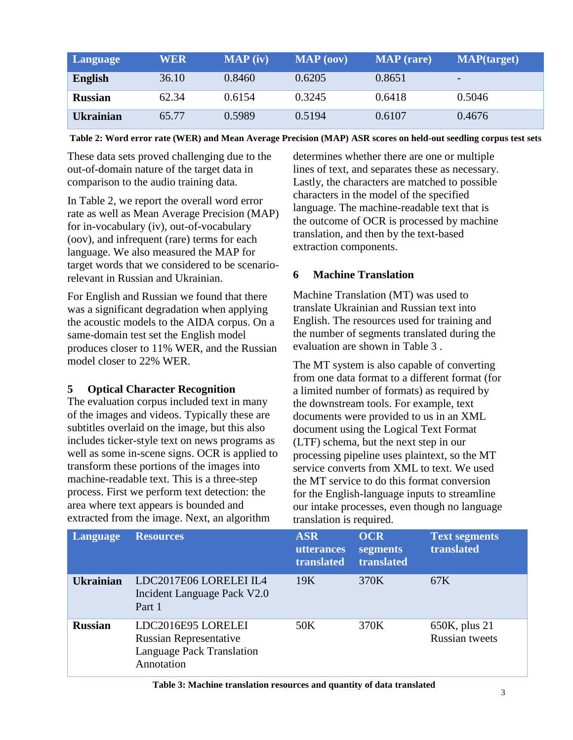| Language         | <b>WER</b> | MAP (iv) | MAP (oov) | <b>MAP</b> (rare) | <b>MAP</b> (target)      |
|------------------|------------|----------|-----------|-------------------|--------------------------|
| <b>English</b>   | 36.10      | 0.8460   | 0.6205    | 0.8651            | $\overline{\phantom{0}}$ |
| <b>Russian</b>   | 62.34      | 0.6154   | 0.3245    | 0.6418            | 0.5046                   |
| <b>Ukrainian</b> | 65.77      | 0.5989   | 0.5194    | 0.6107            | 0.4676                   |

<span id="page-2-0"></span>**Table 2: Word error rate (WER) and Mean Average Precision (MAP) ASR scores on held-out seedling corpus test sets**

These data sets proved challenging due to the out-of-domain nature of the target data in comparison to the audio training data.

In [Table 2,](#page-2-0) we report the overall word error rate as well as Mean Average Precision (MAP) for in-vocabulary (iv), out-of-vocabulary (oov), and infrequent (rare) terms for each language. We also measured the MAP for target words that we considered to be scenariorelevant in Russian and Ukrainian.

For English and Russian we found that there was a significant degradation when applying the acoustic models to the AIDA corpus. On a same-domain test set the English model produces closer to 11% WER, and the Russian model closer to 22% WER.

### **5 Optical Character Recognition**

The evaluation corpus included text in many of the images and videos. Typically these are subtitles overlaid on the image, but this also includes ticker-style text on news programs as well as some in-scene signs. OCR is applied to transform these portions of the images into machine-readable text. This is a three-step process. First we perform text detection: the area where text appears is bounded and extracted from the image. Next, an algorithm

determines whether there are one or multiple lines of text, and separates these as necessary. Lastly, the characters are matched to possible characters in the model of the specified language. The machine-readable text that is the outcome of OCR is processed by machine translation, and then by the text-based extraction components.

## **6 Machine Translation**

Machine Translation (MT) was used to translate Ukrainian and Russian text into English. The resources used for training and the number of segments translated during the evaluation are shown in [Table 3](#page-2-1) .

The MT system is also capable of converting from one data format to a different format (for a limited number of formats) as required by the downstream tools. For example, text documents were provided to us in an XML document using the Logical Text Format (LTF) schema, but the next step in our processing pipeline uses plaintext, so the MT service converts from XML to text. We used the MT service to do this format conversion for the English-language inputs to streamline our intake processes, even though no language translation is required.

| Language         | <b>Resources</b>                                                                               | <b>ASR</b><br><b>utterances</b><br>translated | <b>OCR</b><br>segments<br>translated | <b>Text segments</b><br>translated     |
|------------------|------------------------------------------------------------------------------------------------|-----------------------------------------------|--------------------------------------|----------------------------------------|
| <b>Ukrainian</b> | LDC2017E06 LORELEI IL4<br>Incident Language Pack V2.0<br>Part 1                                | 19K                                           | 370K                                 | 67K                                    |
| <b>Russian</b>   | LDC2016E95 LORELEI<br><b>Russian Representative</b><br>Language Pack Translation<br>Annotation | 50K                                           | 370K                                 | 650K, plus 21<br><b>Russian tweets</b> |

<span id="page-2-1"></span>

| Table 3: Machine translation resources and quantity of data translated |  |  |  |  |  |  |  |  |  |
|------------------------------------------------------------------------|--|--|--|--|--|--|--|--|--|
|------------------------------------------------------------------------|--|--|--|--|--|--|--|--|--|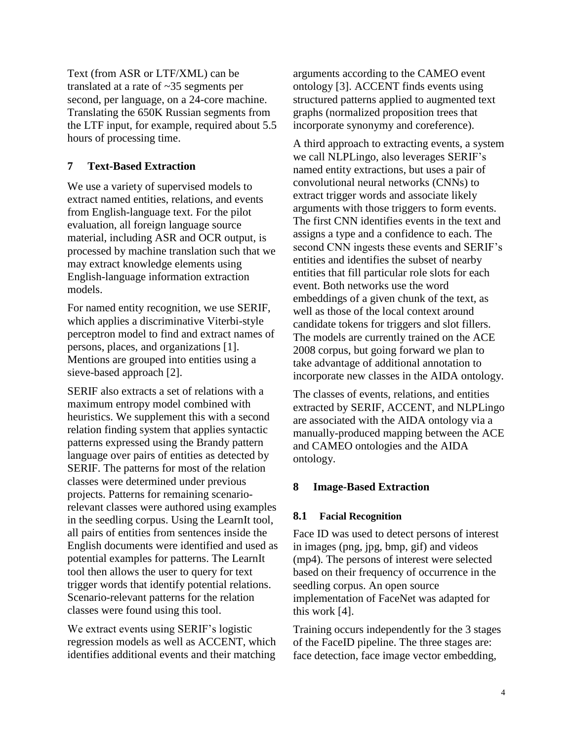Text (from ASR or LTF/XML) can be translated at a rate of ~35 segments per second, per language, on a 24-core machine. Translating the 650K Russian segments from the LTF input, for example, required about 5.5 hours of processing time.

### **7 Text-Based Extraction**

We use a variety of supervised models to extract named entities, relations, and events from English-language text. For the pilot evaluation, all foreign language source material, including ASR and OCR output, is processed by machine translation such that we may extract knowledge elements using English-language information extraction models.

For named entity recognition, we use SERIF, which applies a discriminative Viterbi-style perceptron model to find and extract names of persons, places, and organizations [1]. Mentions are grouped into entities using a sieve-based approach [2].

SERIF also extracts a set of relations with a maximum entropy model combined with heuristics. We supplement this with a second relation finding system that applies syntactic patterns expressed using the Brandy pattern language over pairs of entities as detected by SERIF. The patterns for most of the relation classes were determined under previous projects. Patterns for remaining scenariorelevant classes were authored using examples in the seedling corpus. Using the LearnIt tool, all pairs of entities from sentences inside the English documents were identified and used as potential examples for patterns. The LearnIt tool then allows the user to query for text trigger words that identify potential relations. Scenario-relevant patterns for the relation classes were found using this tool.

We extract events using SERIF's logistic regression models as well as ACCENT, which identifies additional events and their matching arguments according to the CAMEO event ontology [3]. ACCENT finds events using structured patterns applied to augmented text graphs (normalized proposition trees that incorporate synonymy and coreference).

A third approach to extracting events, a system we call NLPLingo, also leverages SERIF's named entity extractions, but uses a pair of convolutional neural networks (CNNs) to extract trigger words and associate likely arguments with those triggers to form events. The first CNN identifies events in the text and assigns a type and a confidence to each. The second CNN ingests these events and SERIF's entities and identifies the subset of nearby entities that fill particular role slots for each event. Both networks use the word embeddings of a given chunk of the text, as well as those of the local context around candidate tokens for triggers and slot fillers. The models are currently trained on the ACE 2008 corpus, but going forward we plan to take advantage of additional annotation to incorporate new classes in the AIDA ontology.

The classes of events, relations, and entities extracted by SERIF, ACCENT, and NLPLingo are associated with the AIDA ontology via a manually-produced mapping between the ACE and CAMEO ontologies and the AIDA ontology.

# **8 Image-Based Extraction**

### **8.1 Facial Recognition**

Face ID was used to detect persons of interest in images (png, jpg, bmp, gif) and videos (mp4). The persons of interest were selected based on their frequency of occurrence in the seedling corpus. An open source implementation of FaceNet was adapted for this work [4].

Training occurs independently for the 3 stages of the FaceID pipeline. The three stages are: face detection, face image vector embedding,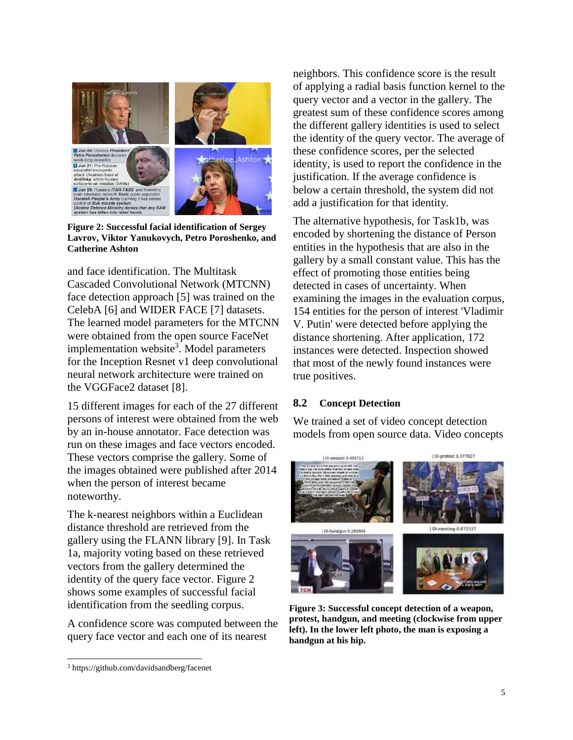

**Figure 2: Successful facial identification of Sergey Lavrov, Viktor Yanukovych, Petro Poroshenko, and Catherine Ashton**

<span id="page-4-0"></span>and face identification. The Multitask Cascaded Convolutional Network (MTCNN) face detection approach [5] was trained on the CelebA [6] and WIDER FACE [7] datasets. The learned model parameters for the MTCNN were obtained from the open source FaceNet implementation website<sup>3</sup>. Model parameters for the Inception Resnet v1 deep convolutional neural network architecture were trained on the VGGFace2 dataset [8].

15 different images for each of the 27 different persons of interest were obtained from the web by an in-house annotator. Face detection was run on these images and face vectors encoded. These vectors comprise the gallery. Some of the images obtained were published after 2014 when the person of interest became noteworthy.

The k-nearest neighbors within a Euclidean distance threshold are retrieved from the gallery using the FLANN library [9]. In Task 1a, majority voting based on these retrieved vectors from the gallery determined the identity of the query face vector. [Figure 2](#page-4-0) shows some examples of successful facial identification from the seedling corpus.

A confidence score was computed between the query face vector and each one of its nearest

 $\overline{a}$ 

neighbors. This confidence score is the result of applying a radial basis function kernel to the query vector and a vector in the gallery. The greatest sum of these confidence scores among the different gallery identities is used to select the identity of the query vector. The average of these confidence scores, per the selected identity, is used to report the confidence in the justification. If the average confidence is below a certain threshold, the system did not add a justification for that identity.

The alternative hypothesis, for Task1b, was encoded by shortening the distance of Person entities in the hypothesis that are also in the gallery by a small constant value. This has the effect of promoting those entities being detected in cases of uncertainty. When examining the images in the evaluation corpus, 154 entities for the person of interest 'Vladimir V. Putin' were detected before applying the distance shortening. After application, 172 instances were detected. Inspection showed that most of the newly found instances were true positives.

#### **8.2 Concept Detection**

We trained a set of video concept detection models from open source data. Video concepts

<span id="page-4-1"></span>

**Figure 3: Successful concept detection of a weapon, protest, handgun, and meeting (clockwise from upper left). In the lower left photo, the man is exposing a handgun at his hip.**

<sup>3</sup> https://github.com/davidsandberg/facenet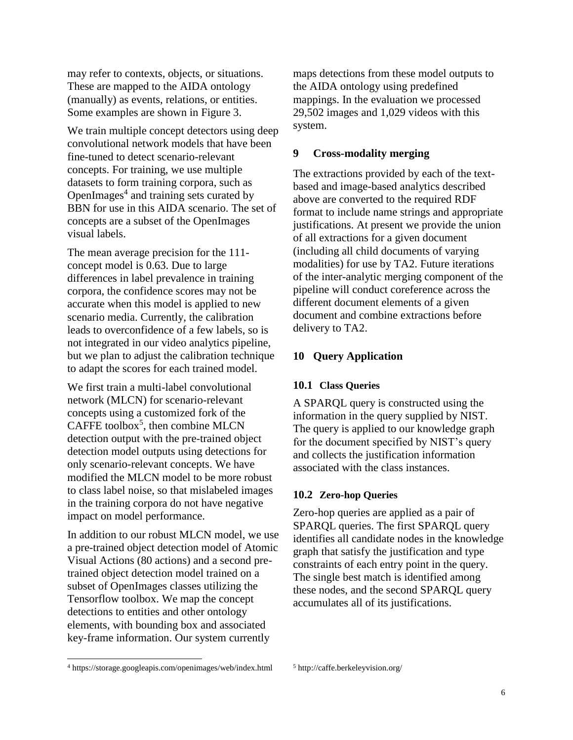may refer to contexts, objects, or situations. These are mapped to the AIDA ontology (manually) as events, relations, or entities. Some examples are shown in [Figure 3.](#page-4-1)

We train multiple concept detectors using deep convolutional network models that have been fine-tuned to detect scenario-relevant concepts. For training, we use multiple datasets to form training corpora, such as OpenImages $4$  and training sets curated by BBN for use in this AIDA scenario. The set of concepts are a subset of the OpenImages visual labels.

The mean average precision for the 111 concept model is 0.63. Due to large differences in label prevalence in training corpora, the confidence scores may not be accurate when this model is applied to new scenario media. Currently, the calibration leads to overconfidence of a few labels, so is not integrated in our video analytics pipeline, but we plan to adjust the calibration technique to adapt the scores for each trained model.

We first train a multi-label convolutional network (MLCN) for scenario-relevant concepts using a customized fork of the CAFFE toolbox<sup>5</sup>, then combine MLCN detection output with the pre-trained object detection model outputs using detections for only scenario-relevant concepts. We have modified the MLCN model to be more robust to class label noise, so that mislabeled images in the training corpora do not have negative impact on model performance.

In addition to our robust MLCN model, we use a pre-trained object detection model of Atomic Visual Actions (80 actions) and a second pretrained object detection model trained on a subset of OpenImages classes utilizing the Tensorflow toolbox. We map the concept detections to entities and other ontology elements, with bounding box and associated key-frame information. Our system currently

maps detections from these model outputs to the AIDA ontology using predefined mappings. In the evaluation we processed 29,502 images and 1,029 videos with this system.

#### **9 Cross-modality merging**

The extractions provided by each of the textbased and image-based analytics described above are converted to the required RDF format to include name strings and appropriate justifications. At present we provide the union of all extractions for a given document (including all child documents of varying modalities) for use by TA2. Future iterations of the inter-analytic merging component of the pipeline will conduct coreference across the different document elements of a given document and combine extractions before delivery to TA2.

### **10 Query Application**

#### **10.1 Class Queries**

A SPARQL query is constructed using the information in the query supplied by NIST. The query is applied to our knowledge graph for the document specified by NIST's query and collects the justification information associated with the class instances.

#### **10.2 Zero-hop Queries**

Zero-hop queries are applied as a pair of SPARQL queries. The first SPARQL query identifies all candidate nodes in the knowledge graph that satisfy the justification and type constraints of each entry point in the query. The single best match is identified among these nodes, and the second SPARQL query accumulates all of its justifications.

 $\overline{a}$ 

<sup>4</sup> https://storage.googleapis.com/openimages/web/index.html

<sup>5</sup> http://caffe.berkeleyvision.org/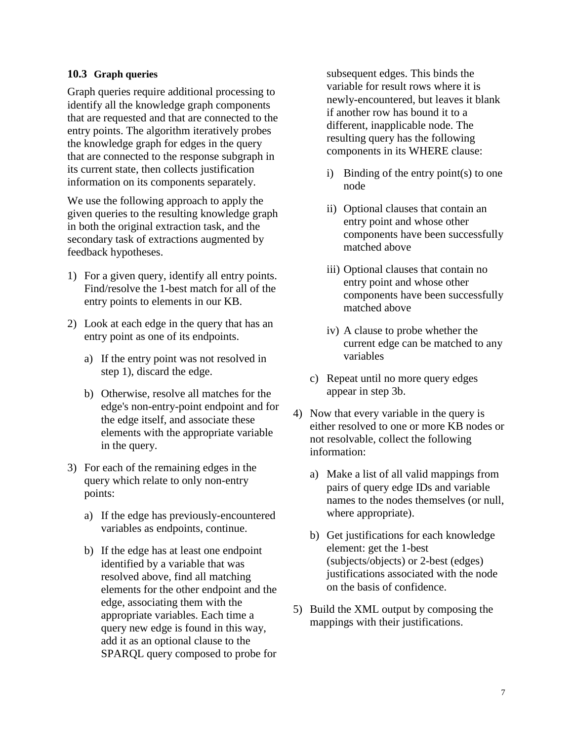### **10.3 Graph queries**

Graph queries require additional processing to identify all the knowledge graph components that are requested and that are connected to the entry points. The algorithm iteratively probes the knowledge graph for edges in the query that are connected to the response subgraph in its current state, then collects justification information on its components separately.

We use the following approach to apply the given queries to the resulting knowledge graph in both the original extraction task, and the secondary task of extractions augmented by feedback hypotheses.

- 1) For a given query, identify all entry points. Find/resolve the 1-best match for all of the entry points to elements in our KB.
- 2) Look at each edge in the query that has an entry point as one of its endpoints.
	- a) If the entry point was not resolved in step 1), discard the edge.
	- b) Otherwise, resolve all matches for the edge's non-entry-point endpoint and for the edge itself, and associate these elements with the appropriate variable in the query.
- 3) For each of the remaining edges in the query which relate to only non-entry points:
	- a) If the edge has previously-encountered variables as endpoints, continue.
	- b) If the edge has at least one endpoint identified by a variable that was resolved above, find all matching elements for the other endpoint and the edge, associating them with the appropriate variables. Each time a query new edge is found in this way, add it as an optional clause to the SPARQL query composed to probe for

subsequent edges. This binds the variable for result rows where it is newly-encountered, but leaves it blank if another row has bound it to a different, inapplicable node. The resulting query has the following components in its WHERE clause:

- i) Binding of the entry point(s) to one node
- ii) Optional clauses that contain an entry point and whose other components have been successfully matched above
- iii) Optional clauses that contain no entry point and whose other components have been successfully matched above
- iv) A clause to probe whether the current edge can be matched to any variables
- c) Repeat until no more query edges appear in step 3b.
- 4) Now that every variable in the query is either resolved to one or more KB nodes or not resolvable, collect the following information:
	- a) Make a list of all valid mappings from pairs of query edge IDs and variable names to the nodes themselves (or null, where appropriate).
	- b) Get justifications for each knowledge element: get the 1-best (subjects/objects) or 2-best (edges) justifications associated with the node on the basis of confidence.
- 5) Build the XML output by composing the mappings with their justifications.